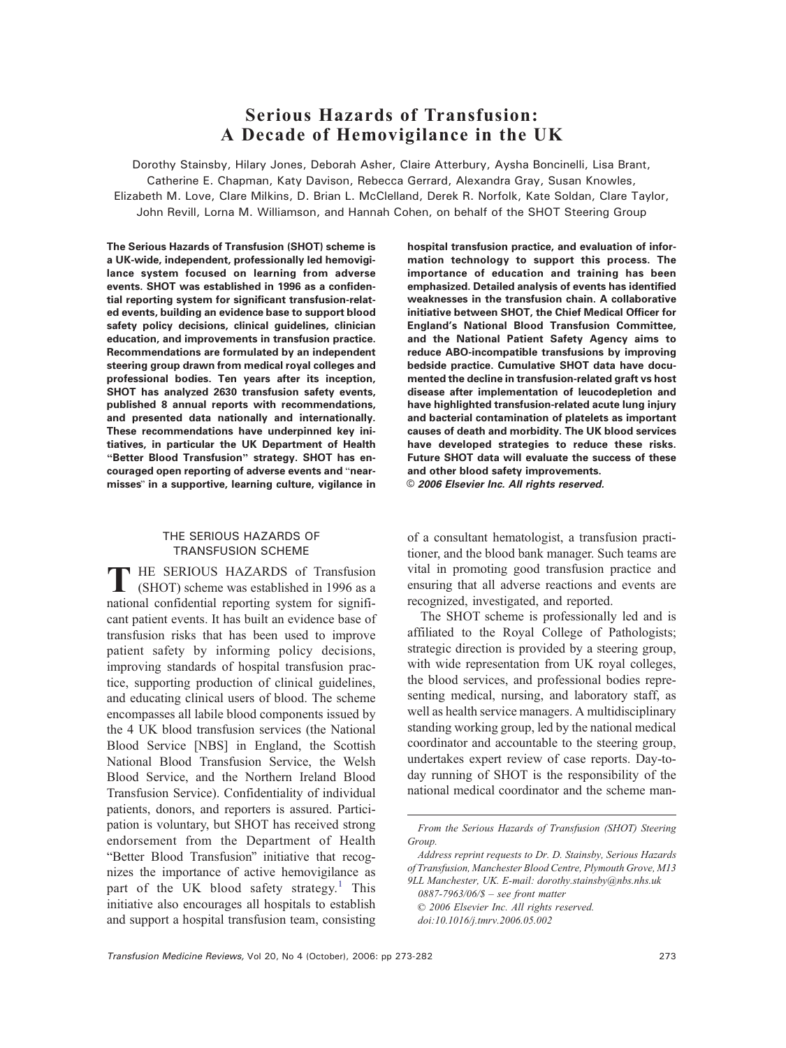# Serious Hazards of Transfusion: A Decade of Hemovigilance in the UK

Dorothy Stainsby, Hilary Jones, Deborah Asher, Claire Atterbury, Aysha Boncinelli, Lisa Brant, Catherine E. Chapman, Katy Davison, Rebecca Gerrard, Alexandra Gray, Susan Knowles, Elizabeth M. Love, Clare Milkins, D. Brian L. McClelland, Derek R. Norfolk, Kate Soldan, Clare Taylor, John Revill, Lorna M. Williamson, and Hannah Cohen, on behalf of the SHOT Steering Group

The Serious Hazards of Transfusion (SHOT) scheme is a UK-wide, independent, professionally led hemovigilance system focused on learning from adverse events. SHOT was established in 1996 as a confidential reporting system for significant transfusion-related events, building an evidence base to support blood safety policy decisions, clinical guidelines, clinician education, and improvements in transfusion practice. Recommendations are formulated by an independent steering group drawn from medical royal colleges and professional bodies. Ten years after its inception, SHOT has analyzed 2630 transfusion safety events, published 8 annual reports with recommendations, and presented data nationally and internationally. These recommendations have underpinned key initiatives, in particular the UK Department of Health ''Better Blood Transfusion'' strategy. SHOT has encouraged open reporting of adverse events and "nearmisses" in a supportive, learning culture, vigilance in

### THE SERIOUS HAZARDS OF TRANSFUSION SCHEME

T HE SERIOUS HAZARDS of Transfusion (SHOT) scheme was established in 1996 as a national confidential reporting system for significant patient events. It has built an evidence base of transfusion risks that has been used to improve patient safety by informing policy decisions, improving standards of hospital transfusion practice, supporting production of clinical guidelines, and educating clinical users of blood. The scheme encompasses all labile blood components issued by the 4 UK blood transfusion services (the National Blood Service [NBS] in England, the Scottish National Blood Transfusion Service, the Welsh Blood Service, and the Northern Ireland Blood Transfusion Service). Confidentiality of individual patients, donors, and reporters is assured. Participation is voluntary, but SHOT has received strong endorsement from the Department of Health "Better Blood Transfusion" initiative that recognizes the importance of active hemovig[ilanc](#page-8-0)e as part of the UK blood safety strategy.<sup>1</sup> This initiative also encourages all hospitals to establish and support a hospital transfusion team, consisting hospital transfusion practice, and evaluation of information technology to support this process. The importance of education and training has been emphasized. Detailed analysis of events has identified weaknesses in the transfusion chain. A collaborative initiative between SHOT, the Chief Medical Officer for England's National Blood Transfusion Committee, and the National Patient Safety Agency aims to reduce ABO-incompatible transfusions by improving bedside practice. Cumulative SHOT data have documented the decline in transfusion-related graft vs host disease after implementation of leucodepletion and have highlighted transfusion-related acute lung injury and bacterial contamination of platelets as important causes of death and morbidity. The UK blood services have developed strategies to reduce these risks. Future SHOT data will evaluate the success of these and other blood safety improvements. © 2006 Elsevier Inc. All rights reserved.

of a consultant hematologist, a transfusion practitioner, and the blood bank manager. Such teams are vital in promoting good transfusion practice and ensuring that all adverse reactions and events are recognized, investigated, and reported.

The SHOT scheme is professionally led and is affiliated to the Royal College of Pathologists; strategic direction is provided by a steering group, with wide representation from UK royal colleges, the blood services, and professional bodies representing medical, nursing, and laboratory staff, as well as health service managers. A multidisciplinary standing working group, led by the national medical coordinator and accountable to the steering group, undertakes expert review of case reports. Day-today running of SHOT is the responsibility of the national medical coordinator and the scheme man-

 $\odot$  2006 Elsevier Inc. All rights reserved. doi:10.1016/j.tmrv.2006.05.002

From the Serious Hazards of Transfusion (SHOT) Steering Group.

Address reprint requests to Dr. D. Stainsby, Serious Hazards of Transfusion, Manchester Blood Centre, Plymouth Grove, M13 9LL Manchester, UK. E-mail: dorothy.stainsby@nbs.nhs.uk 0887-7963/06/\$ – see front matter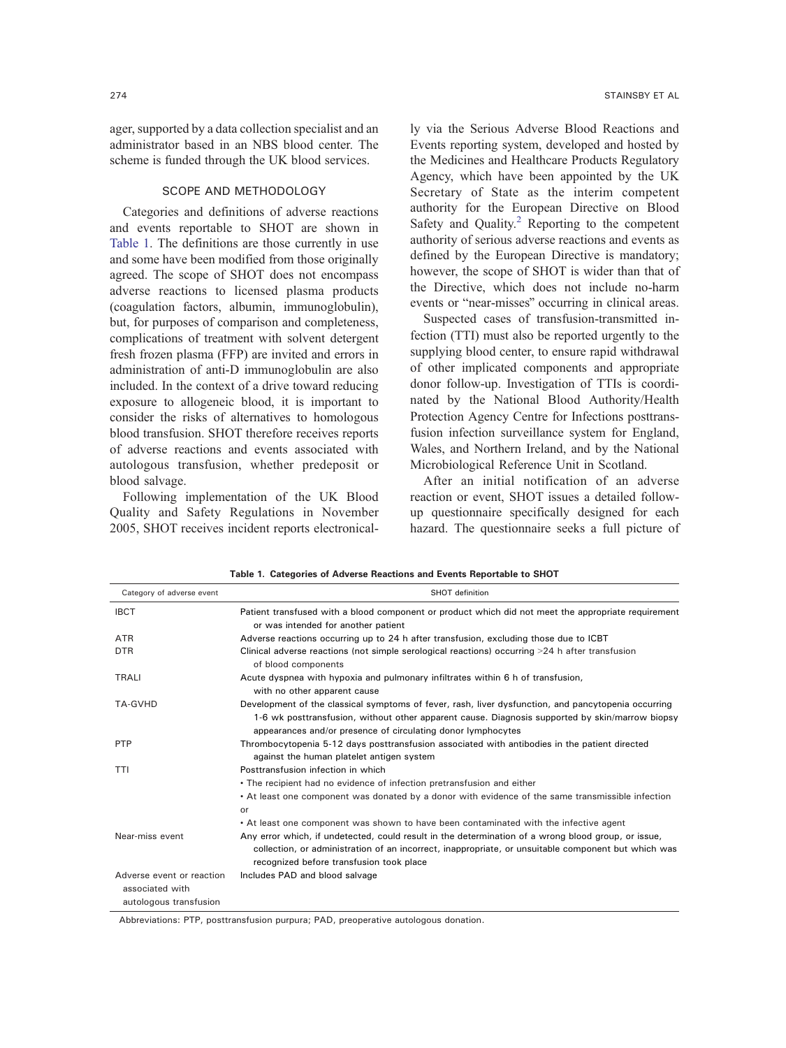ager, supported by a data collection specialist and an administrator based in an NBS blood center. The scheme is funded through the UK blood services.

### SCOPE AND METHODOLOGY

Categories and definitions of adverse reactions and events reportable to SHOT are shown in Table 1. The definitions are those currently in use and some have been modified from those originally agreed. The scope of SHOT does not encompass adverse reactions to licensed plasma products (coagulation factors, albumin, immunoglobulin), but, for purposes of comparison and completeness, complications of treatment with solvent detergent fresh frozen plasma (FFP) are invited and errors in administration of anti-D immunoglobulin are also included. In the context of a drive toward reducing exposure to allogeneic blood, it is important to consider the risks of alternatives to homologous blood transfusion. SHOT therefore receives reports of adverse reactions and events associated with autologous transfusion, whether predeposit or blood salvage.

Following implementation of the UK Blood Quality and Safety Regulations in November 2005, SHOT receives incident reports electronically via the Serious Adverse Blood Reactions and Events reporting system, developed and hosted by the Medicines and Healthcare Products Regulatory Agency, which have been appointed by the UK Secretary of State as the interim competent authority for the European Directive on Blood Safety and Quality. ${}^{2}$  ${}^{2}$  ${}^{2}$  Reporting to the competent authority of serious adverse reactions and events as defined by the European Directive is mandatory; however, the scope of SHOT is wider than that of the Directive, which does not include no-harm events or "near-misses" occurring in clinical areas.

Suspected cases of transfusion-transmitted infection (TTI) must also be reported urgently to the supplying blood center, to ensure rapid withdrawal of other implicated components and appropriate donor follow-up. Investigation of TTIs is coordinated by the National Blood Authority/Health Protection Agency Centre for Infections posttransfusion infection surveillance system for England, Wales, and Northern Ireland, and by the National Microbiological Reference Unit in Scotland.

After an initial notification of an adverse reaction or event, SHOT issues a detailed followup questionnaire specifically designed for each hazard. The questionnaire seeks a full picture of

| Category of adverse event                                              | <b>SHOT</b> definition                                                                                                                                                                                                                                                 |  |  |  |  |  |  |
|------------------------------------------------------------------------|------------------------------------------------------------------------------------------------------------------------------------------------------------------------------------------------------------------------------------------------------------------------|--|--|--|--|--|--|
| <b>IBCT</b>                                                            | Patient transfused with a blood component or product which did not meet the appropriate requirement<br>or was intended for another patient                                                                                                                             |  |  |  |  |  |  |
| <b>ATR</b>                                                             | Adverse reactions occurring up to 24 h after transfusion, excluding those due to ICBT                                                                                                                                                                                  |  |  |  |  |  |  |
| <b>DTR</b>                                                             | Clinical adverse reactions (not simple serological reactions) occurring >24 h after transfusion<br>of blood components                                                                                                                                                 |  |  |  |  |  |  |
| <b>TRALI</b>                                                           | Acute dyspnea with hypoxia and pulmonary infiltrates within 6 h of transfusion,<br>with no other apparent cause                                                                                                                                                        |  |  |  |  |  |  |
| <b>TA-GVHD</b>                                                         | Development of the classical symptoms of fever, rash, liver dysfunction, and pancytopenia occurring<br>1-6 wk posttransfusion, without other apparent cause. Diagnosis supported by skin/marrow biopsy<br>appearances and/or presence of circulating donor lymphocytes |  |  |  |  |  |  |
| <b>PTP</b>                                                             | Thrombocytopenia 5-12 days posttransfusion associated with antibodies in the patient directed<br>against the human platelet antigen system                                                                                                                             |  |  |  |  |  |  |
| <b>TTI</b>                                                             | Posttransfusion infection in which                                                                                                                                                                                                                                     |  |  |  |  |  |  |
|                                                                        | • The recipient had no evidence of infection pretransfusion and either                                                                                                                                                                                                 |  |  |  |  |  |  |
|                                                                        | • At least one component was donated by a donor with evidence of the same transmissible infection<br>or                                                                                                                                                                |  |  |  |  |  |  |
|                                                                        | • At least one component was shown to have been contaminated with the infective agent                                                                                                                                                                                  |  |  |  |  |  |  |
| Near-miss event                                                        | Any error which, if undetected, could result in the determination of a wrong blood group, or issue,<br>collection, or administration of an incorrect, inappropriate, or unsuitable component but which was<br>recognized before transfusion took place                 |  |  |  |  |  |  |
| Adverse event or reaction<br>associated with<br>autologous transfusion | Includes PAD and blood salvage                                                                                                                                                                                                                                         |  |  |  |  |  |  |

Table 1. Categories of Adverse Reactions and Events Reportable to SHOT

Abbreviations: PTP, posttransfusion purpura; PAD, preoperative autologous donation.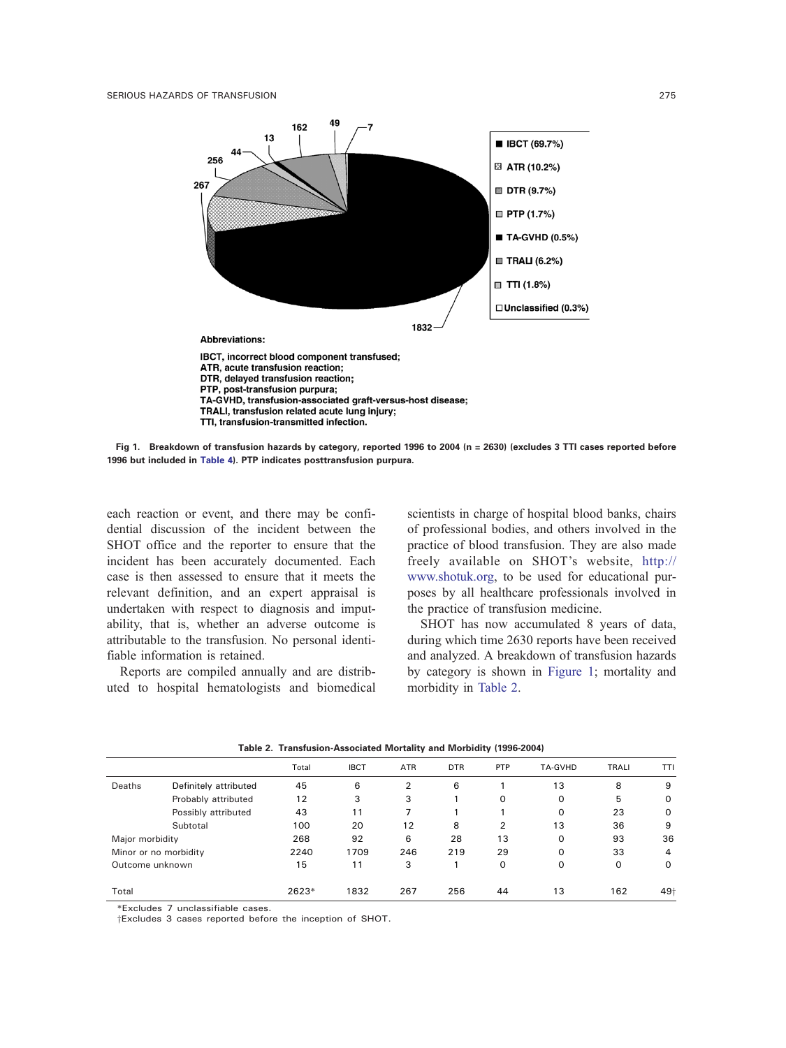

Fig 1. Breakdown of transfusion hazards by category, reported 1996 to 2004 (n = 2630) (excludes 3 TTI cases reported before 1996 but included in [Table 4\)](#page-4-0). PTP indicates posttransfusion purpura.

each reaction or event, and there may be confidential discussion of the incident between the SHOT office and the reporter to ensure that the incident has been accurately documented. Each case is then assessed to ensure that it meets the relevant definition, and an expert appraisal is undertaken with respect to diagnosis and imputability, that is, whether an adverse outcome is attributable to the transfusion. No personal identifiable information is retained.

Reports are compiled annually and are distributed to hospital hematologists and biomedical

scientists in charge of hospital blood banks, chairs of professional bodies, and others involved in the practice of blood transfusion. They are also made freely available on SHOT's website, [http://](http://www.shotuk.org) www.shotuk.org, to be used for educational purposes by all healthcare professionals involved in the practice of transfusion medicine.

SHOT has now accumulated 8 years of data, during which time 2630 reports have been received and analyzed. A breakdown of transfusion hazards by category is shown in Figure 1; mortality and morbidity in Table 2.

|                       |                       | Total | <b>IBCT</b> | <b>ATR</b> | <b>DTR</b> | <b>PTP</b> | TA-GVHD | TRALI | TTI            |
|-----------------------|-----------------------|-------|-------------|------------|------------|------------|---------|-------|----------------|
| Deaths                | Definitely attributed | 45    | 6           | 2          | 6          |            | 13      | 8     | 9              |
|                       | Probably attributed   | 12    | 3           | 3          |            | 0          | 0       | 5     | 0              |
|                       | Possibly attributed   | 43    | 11          | 7          |            |            | 0       | 23    | 0              |
|                       | Subtotal              | 100   | 20          | 12         | 8          | 2          | 13      | 36    | 9              |
| Major morbidity       |                       | 268   | 92          | 6          | 28         | 13         | 0       | 93    | 36             |
| Minor or no morbidity |                       | 2240  | 1709        | 246        | 219        | 29         | 0       | 33    | $\overline{4}$ |
| Outcome unknown       |                       | 15    | 11          | 3          |            | 0          | 0       | 0     | 0              |
| Total                 |                       | 2623* | 1832        | 267        | 256        | 44         | 13      | 162   | 49             |

Table 2. Transfusion-Associated Mortality and Morbidity (1996-2004)

4Excludes 7 unclassifiable cases.

 $\dagger$ Excludes 3 cases reported before the inception of SHOT.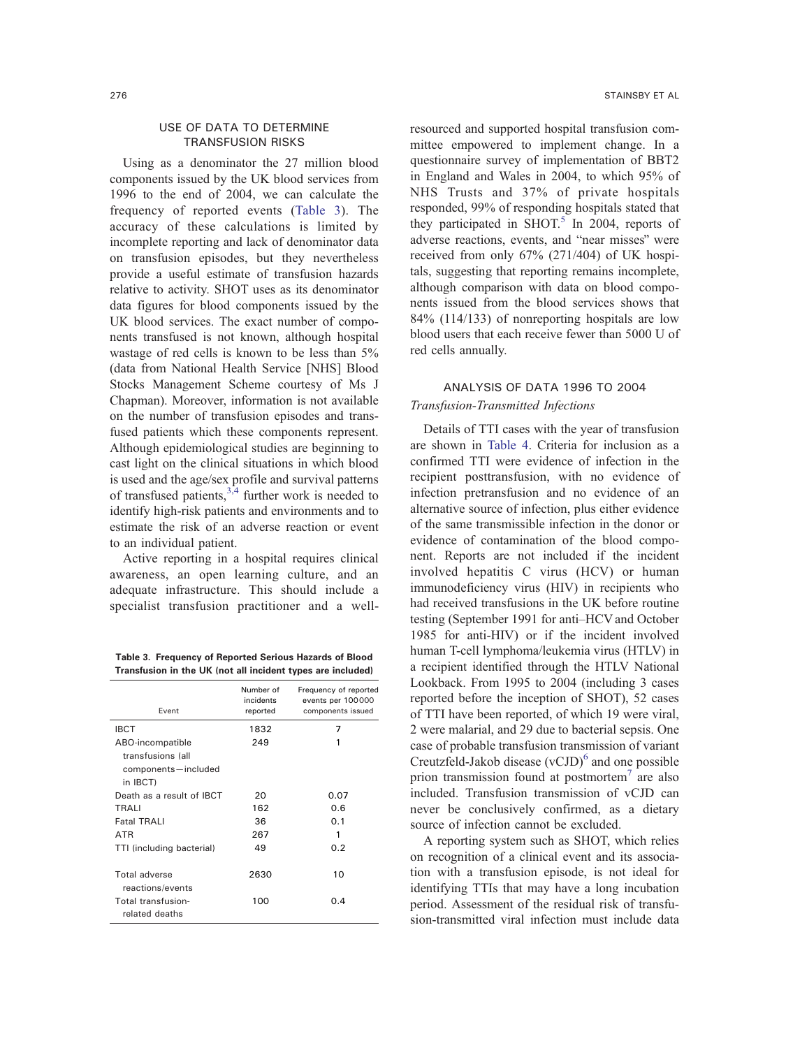### USE OF DATA TO DETERMINE TRANSFUSION RISKS

Using as a denominator the 27 million blood components issued by the UK blood services from 1996 to the end of 2004, we can calculate the frequency of reported events (Table 3). The accuracy of these calculations is limited by incomplete reporting and lack of denominator data on transfusion episodes, but they nevertheless provide a useful estimate of transfusion hazards relative to activity. SHOT uses as its denominator data figures for blood components issued by the UK blood services. The exact number of components transfused is not known, although hospital wastage of red cells is known to be less than 5% (data from National Health Service [NHS] Blood Stocks Management Scheme courtesy of Ms J Chapman). Moreover, information is not available on the number of transfusion episodes and transfused patients which these components represent. Although epidemiological studies are beginning to cast light on the clinical situations in which blood is used and the age/se[x pro](#page-8-0)file and survival patterns of transfused patients,  $3\frac{3}{4}$  further work is needed to identify high-risk patients and environments and to estimate the risk of an adverse reaction or event to an individual patient.

Active reporting in a hospital requires clinical awareness, an open learning culture, and an adequate infrastructure. This should include a specialist transfusion practitioner and a well-

Table 3. Frequency of Reported Serious Hazards of Blood Transfusion in the UK (not all incident types are included)

| Event                                                | Number of<br>incidents<br>reported | Frequency of reported<br>events per 100000<br>components issued |  |  |  |  |
|------------------------------------------------------|------------------------------------|-----------------------------------------------------------------|--|--|--|--|
| <b>IBCT</b>                                          | 1832                               | 7                                                               |  |  |  |  |
| ABO-incompatible                                     | 249                                | 1                                                               |  |  |  |  |
| transfusions (all<br>components-included<br>in IBCT) |                                    |                                                                 |  |  |  |  |
| Death as a result of IBCT                            | 20                                 | 0.07                                                            |  |  |  |  |
| TRALI                                                | 162                                | 0.6                                                             |  |  |  |  |
| <b>Fatal TRALI</b>                                   | 36                                 | 0.1                                                             |  |  |  |  |
| <b>ATR</b>                                           | 267                                | 1                                                               |  |  |  |  |
| TTI (including bacterial)                            | 49                                 | 0.2                                                             |  |  |  |  |
| Total adverse<br>reactions/events                    | 2630                               | 10                                                              |  |  |  |  |
| Total transfusion-<br>related deaths                 | 100                                | 0.4                                                             |  |  |  |  |

resourced and supported hospital transfusion committee empowered to implement change. In a questionnaire survey of implementation of BBT2 in England and Wales in 2004, to which 95% of NHS Trusts and 37% of private hospitals responded, 99% of respond[in](#page-8-0)g hospitals stated that they participated in SHOT.<sup>5</sup> In 2004, reports of adverse reactions, events, and "near misses" were received from only 67% (271/404) of UK hospitals, suggesting that reporting remains incomplete, although comparison with data on blood components issued from the blood services shows that 84% (114/133) of nonreporting hospitals are low blood users that each receive fewer than 5000 U of red cells annually.

# ANALYSIS OF DATA 1996 TO 2004 Transfusion-Transmitted Infections

Details of TTI cases with the year of transfusion are shown in [Table](#page-4-0) [4](#page-4-0). Criteria for inclusion as a confirmed TTI were evidence of infection in the recipient posttransfusion, with no evidence of infection pretransfusion and no evidence of an alternative source of infection, plus either evidence of the same transmissible infection in the donor or evidence of contamination of the blood component. Reports are not included if the incident involved hepatitis C virus (HCV) or human immunodeficiency virus (HIV) in recipients who had received transfusions in the UK before routine testing (September 1991 for anti–HCV and October 1985 for anti-HIV) or if the incident involved human T-cell lymphoma/leukemia virus (HTLV) in a recipient identified through the HTLV National Lookback. From 1995 to 2004 (including 3 cases reported before the inception of SHOT), 52 cases of TTI have been reported, of which 19 were viral, 2 were malarial, and 29 due to bacterial sepsis. One case of probable transfusion transmission of variant Creutzfeld-Jakob disease  $(vCJD)^6$  $(vCJD)^6$  and one possible prion transmission found at postmortem<sup>7</sup> are also included. Transfusion transmission of vCJD can never be conclusively confirmed, as a dietary source of infection cannot be excluded.

A reporting system such as SHOT, which relies on recognition of a clinical event and its association with a transfusion episode, is not ideal for identifying TTIs that may have a long incubation period. Assessment of the residual risk of transfusion-transmitted viral infection must include data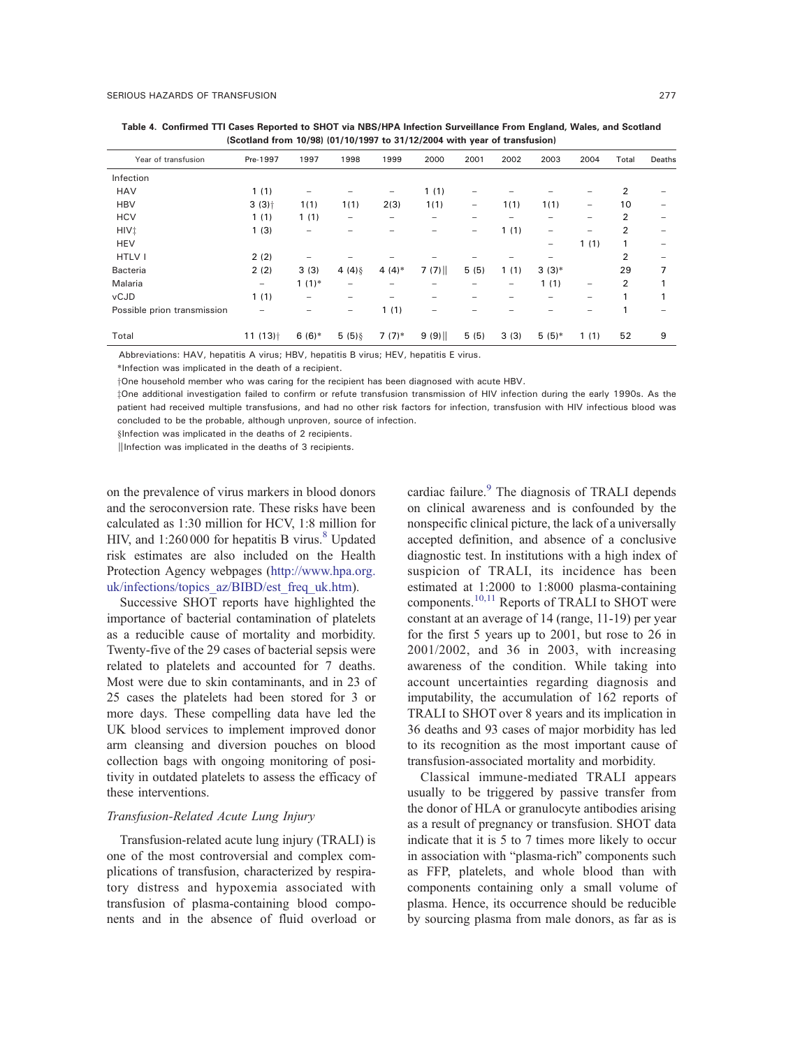| $\frac{1}{2}$               |                          |                          |                          |                          |                          |                          |                          |                          |                          |       |        |
|-----------------------------|--------------------------|--------------------------|--------------------------|--------------------------|--------------------------|--------------------------|--------------------------|--------------------------|--------------------------|-------|--------|
| Year of transfusion         | Pre-1997                 | 1997                     | 1998                     | 1999                     | 2000                     | 2001                     | 2002                     | 2003                     | 2004                     | Total | Deaths |
| Infection                   |                          |                          |                          |                          |                          |                          |                          |                          |                          |       |        |
| <b>HAV</b>                  | 1(1)                     | -                        |                          | $\overline{\phantom{0}}$ | 1(1)                     | -                        |                          |                          |                          | 2     |        |
| <b>HBV</b>                  | $3(3)$ <sup>+</sup>      | 1(1)                     | 1(1)                     | 2(3)                     | 1(1)                     | $\qquad \qquad -$        | 1(1)                     | 1(1)                     | $\overline{\phantom{0}}$ | 10    |        |
| <b>HCV</b>                  | 1(1)                     | 1(1)                     | $\overline{\phantom{m}}$ | $\overline{\phantom{0}}$ | $\overline{\phantom{0}}$ | $\overline{\phantom{0}}$ |                          | -                        | -                        | 2     |        |
| <b>HIV</b> <sup>1</sup>     | 1(3)                     | $\overline{\phantom{0}}$ |                          |                          |                          | $\overline{\phantom{0}}$ | 1(1)                     | $\overline{\phantom{0}}$ | $\overline{\phantom{0}}$ | 2     |        |
| <b>HEV</b>                  |                          |                          |                          |                          |                          |                          |                          | -                        | 1(1)                     | 1     |        |
| HTLV I                      | 2(2)                     |                          |                          |                          |                          |                          |                          |                          |                          | 2     |        |
| Bacteria                    | 2(2)                     | 3(3)                     | 4 (4) §                  | 4 $(4)^*$                | 7(7)                     | 5(5)                     | 1(1)                     | $3(3)*$                  |                          | 29    | 7      |
| Malaria                     | $\overline{\phantom{m}}$ | $1(1)^*$                 | $\overline{\phantom{m}}$ |                          |                          | -                        | $\overline{\phantom{0}}$ | 1(1)                     | $\overline{\phantom{0}}$ | 2     |        |
| <b>vCJD</b>                 | 1(1)                     | $\overline{\phantom{0}}$ |                          |                          |                          |                          |                          |                          | -                        | 1     | 1      |
| Possible prion transmission | -                        |                          | $\qquad \qquad -$        | 1(1)                     |                          |                          |                          |                          |                          | 1     |        |
| Total                       | $11(13)$ <sup>+</sup>    | $6(6)*$                  | $5(5)\$                  | $7(7)^*$                 | 9(9)                     | 5(5)                     | 3(3)                     | $5(5)^*$                 | 1(1)                     | 52    | 9      |

<span id="page-4-0"></span>Table 4. Confirmed TTI Cases Reported to SHOT via NBS/HPA Infection Surveillance From England, Wales, and Scotland (Scotland from 10/98) (01/10/1997 to 31/12/2004 with year of transfusion)

Abbreviations: HAV, hepatitis A virus; HBV, hepatitis B virus; HEV, hepatitis E virus.

4Infection was implicated in the death of a recipient.

tOne household member who was caring for the recipient has been diagnosed with acute HBV.

zOne additional investigation failed to confirm or refute transfusion transmission of HIV infection during the early 1990s. As the patient had received multiple transfusions, and had no other risk factors for infection, transfusion with HIV infectious blood was concluded to be the probable, although unproven, source of infection.

§Infection was implicated in the deaths of 2 recipients.

 $\parallel$ Infection was implicated in the deaths of 3 recipients.

on the prevalence of virus markers in blood donors and the seroconversion rate. These risks have been calculated as 1:30 million for HCV, 1:8 [mill](#page-9-0)ion for HIV, and  $1:260000$  for hepatitis B virus. $8$  Updated risk estimates are also included on the Health Protection Agency webpages [\(http://www.hpa.org](http://www.hpa.org.uk/infections/topics_az/BIBD/est_freq_uk.htm). uk/infections/topics\_az/BIBD/est\_freq\_uk.htm).

Successive SHOT reports have highlighted the importance of bacterial contamination of platelets as a reducible cause of mortality and morbidity. Twenty-five of the 29 cases of bacterial sepsis were related to platelets and accounted for 7 deaths. Most were due to skin contaminants, and in 23 of 25 cases the platelets had been stored for 3 or more days. These compelling data have led the UK blood services to implement improved donor arm cleansing and diversion pouches on blood collection bags with ongoing monitoring of positivity in outdated platelets to assess the efficacy of these interventions.

# Transfusion-Related Acute Lung Injury

Transfusion-related acute lung injury (TRALI) is one of the most controversial and complex complications of transfusion, characterized by respiratory distress and hypoxemia associated with transfusion of plasma-containing blood components and in the absence of fluid overload or

cardiac failure.<sup>[9](#page-9-0)</sup> The diagnosis of TRALI depends on clinical awareness and is confounded by the nonspecific clinical picture, the lack of a universally accepted definition, and absence of a conclusive diagnostic test. In institutions with a high index of suspicion of TRALI, its incidence has been estimated at 1:2000 to 1:8000 plasma-containing components.1[0,11](#page-9-0) Reports of TRALI to SHOT were constant at an average of 14 (range, 11-19) per year for the first 5 years up to 2001, but rose to 26 in 2001/2002, and 36 in 2003, with increasing awareness of the condition. While taking into account uncertainties regarding diagnosis and imputability, the accumulation of 162 reports of TRALI to SHOT over 8 years and its implication in 36 deaths and 93 cases of major morbidity has led to its recognition as the most important cause of transfusion-associated mortality and morbidity.

Classical immune-mediated TRALI appears usually to be triggered by passive transfer from the donor of HLA or granulocyte antibodies arising as a result of pregnancy or transfusion. SHOT data indicate that it is 5 to 7 times more likely to occur in association with "plasma-rich" components such as FFP, platelets, and whole blood than with components containing only a small volume of plasma. Hence, its occurrence should be reducible by sourcing plasma from male donors, as far as is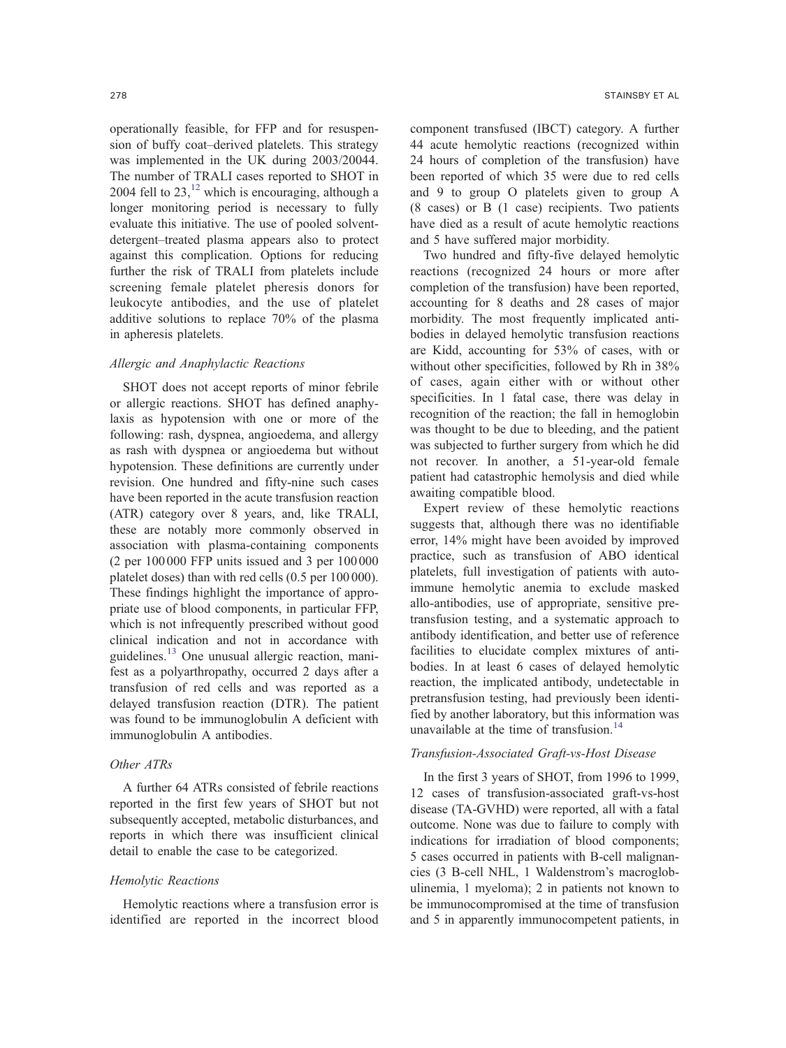operationally feasible, for FFP and for resuspension of buffy coat–derived platelets. This strategy was implemented in the UK during 2003/20044. The number of TRALI cases reported to SHOT in 2004 fell to  $23$ ,  $12$  which is encouraging, although a longer monitoring period is necessary to fully evaluate this initiative. The use of pooled solventdetergent–treated plasma appears also to protect against this complication. Options for reducing further the risk of TRALI from platelets include screening female platelet pheresis donors for leukocyte antibodies, and the use of platelet additive solutions to replace 70% of the plasma in apheresis platelets.

# Allergic and Anaphylactic Reactions

SHOT does not accept reports of minor febrile or allergic reactions. SHOT has defined anaphylaxis as hypotension with one or more of the following: rash, dyspnea, angioedema, and allergy as rash with dyspnea or angioedema but without hypotension. These definitions are currently under revision. One hundred and fifty-nine such cases have been reported in the acute transfusion reaction (ATR) category over 8 years, and, like TRALI, these are notably more commonly observed in association with plasma-containing components (2 per 100 000 FFP units issued and 3 per 100 000 platelet doses) than with red cells (0.5 per 100 000). These findings highlight the importance of appropriate use of blood components, in particular FFP, which is not infrequently prescribed without good clinical i[ndic](#page-9-0)ation and not in accordance with guidelines.<sup>13</sup> One unusual allergic reaction, manifest as a polyarthropathy, occurred 2 days after a transfusion of red cells and was reported as a delayed transfusion reaction (DTR). The patient was found to be immunoglobulin A deficient with immunoglobulin A antibodies.

# Other ATRs

A further 64 ATRs consisted of febrile reactions reported in the first few years of SHOT but not subsequently accepted, metabolic disturbances, and reports in which there was insufficient clinical detail to enable the case to be categorized.

### Hemolytic Reactions

Hemolytic reactions where a transfusion error is identified are reported in the incorrect blood component transfused (IBCT) category. A further 44 acute hemolytic reactions (recognized within 24 hours of completion of the transfusion) have been reported of which 35 were due to red cells and 9 to group O platelets given to group A (8 cases) or B (1 case) recipients. Two patients have died as a result of acute hemolytic reactions and 5 have suffered major morbidity.

Two hundred and fifty-five delayed hemolytic reactions (recognized 24 hours or more after completion of the transfusion) have been reported, accounting for 8 deaths and 28 cases of major morbidity. The most frequently implicated antibodies in delayed hemolytic transfusion reactions are Kidd, accounting for 53% of cases, with or without other specificities, followed by Rh in  $38\%$ of cases, again either with or without other specificities. In 1 fatal case, there was delay in recognition of the reaction; the fall in hemoglobin was thought to be due to bleeding, and the patient was subjected to further surgery from which he did not recover. In another, a 51-year-old female patient had catastrophic hemolysis and died while awaiting compatible blood.

Expert review of these hemolytic reactions suggests that, although there was no identifiable error, 14% might have been avoided by improved practice, such as transfusion of ABO identical platelets, full investigation of patients with autoimmune hemolytic anemia to exclude masked allo-antibodies, use of appropriate, sensitive pretransfusion testing, and a systematic approach to antibody identification, and better use of reference facilities to elucidate complex mixtures of antibodies. In at least 6 cases of delayed hemolytic reaction, the implicated antibody, undetectable in pretransfusion testing, had previously been identified by another laboratory, but this information was unavailable at the time of transfusion.<sup>[14](#page-9-0)</sup>

#### Transfusion-Associated Graft-vs-Host Disease

In the first 3 years of SHOT, from 1996 to 1999, 12 cases of transfusion-associated graft-vs-host disease (TA-GVHD) were reported, all with a fatal outcome. None was due to failure to comply with indications for irradiation of blood components; 5 cases occurred in patients with B-cell malignancies (3 B-cell NHL, 1 Waldenstrom's macroglobulinemia, 1 myeloma); 2 in patients not known to be immunocompromised at the time of transfusion and 5 in apparently immunocompetent patients, in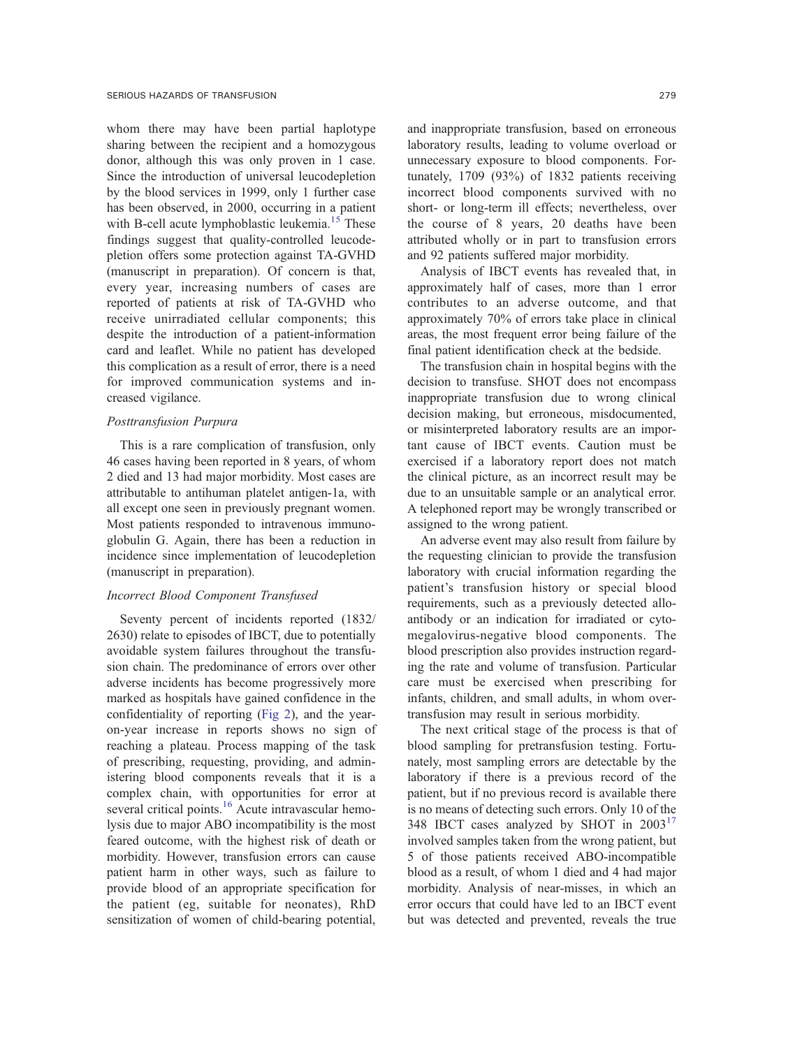whom there may have been partial haplotype sharing between the recipient and a homozygous donor, although this was only proven in 1 case. Since the introduction of universal leucodepletion by the blood services in 1999, only 1 further case has been observed, in 2000, occurring in a patient with B-cell acute lymphoblastic leukemia.<sup>[15](#page-9-0)</sup> These findings suggest that quality-controlled leucodepletion offers some protection against TA-GVHD (manuscript in preparation). Of concern is that, every year, increasing numbers of cases are reported of patients at risk of TA-GVHD who receive unirradiated cellular components; this despite the introduction of a patient-information card and leaflet. While no patient has developed this complication as a result of error, there is a need for improved communication systems and increased vigilance.

### Posttransfusion Purpura

This is a rare complication of transfusion, only 46 cases having been reported in 8 years, of whom 2 died and 13 had major morbidity. Most cases are attributable to antihuman platelet antigen-1a, with all except one seen in previously pregnant women. Most patients responded to intravenous immunoglobulin G. Again, there has been a reduction in incidence since implementation of leucodepletion (manuscript in preparation).

### Incorrect Blood Component Transfused

Seventy percent of incidents reported (1832/ 2630) relate to episodes of IBCT, due to potentially avoidable system failures throughout the transfusion chain. The predominance of errors over other adverse incidents has become progressively more marked as hospitals have gained confidence in the confidentiality of reporting [\(Fig 2](#page-7-0)), and the yearon-year increase in reports shows no sign of reaching a plateau. Process mapping of the task of prescribing, requesting, providing, and administering blood components reveals that it is a complex chain, with [o](#page-9-0)pportunities for error at several critical points.<sup>16</sup> Acute intravascular hemolysis due to major ABO incompatibility is the most feared outcome, with the highest risk of death or morbidity. However, transfusion errors can cause patient harm in other ways, such as failure to provide blood of an appropriate specification for the patient (eg, suitable for neonates), RhD sensitization of women of child-bearing potential,

and inappropriate transfusion, based on erroneous laboratory results, leading to volume overload or unnecessary exposure to blood components. Fortunately, 1709 (93%) of 1832 patients receiving incorrect blood components survived with no short- or long-term ill effects; nevertheless, over the course of 8 years, 20 deaths have been attributed wholly or in part to transfusion errors and 92 patients suffered major morbidity.

Analysis of IBCT events has revealed that, in approximately half of cases, more than 1 error contributes to an adverse outcome, and that approximately 70% of errors take place in clinical areas, the most frequent error being failure of the final patient identification check at the bedside.

The transfusion chain in hospital begins with the decision to transfuse. SHOT does not encompass inappropriate transfusion due to wrong clinical decision making, but erroneous, misdocumented, or misinterpreted laboratory results are an important cause of IBCT events. Caution must be exercised if a laboratory report does not match the clinical picture, as an incorrect result may be due to an unsuitable sample or an analytical error. A telephoned report may be wrongly transcribed or assigned to the wrong patient.

An adverse event may also result from failure by the requesting clinician to provide the transfusion laboratory with crucial information regarding the patient's transfusion history or special blood requirements, such as a previously detected alloantibody or an indication for irradiated or cytomegalovirus-negative blood components. The blood prescription also provides instruction regarding the rate and volume of transfusion. Particular care must be exercised when prescribing for infants, children, and small adults, in whom overtransfusion may result in serious morbidity.

The next critical stage of the process is that of blood sampling for pretransfusion testing. Fortunately, most sampling errors are detectable by the laboratory if there is a previous record of the patient, but if no previous record is available there is no means of detecting such errors. Only 10 of the 348 IBCT cases analyzed by SHOT in  $2003^{17}$  $2003^{17}$  $2003^{17}$ involved samples taken from the wrong patient, but 5 of those patients received ABO-incompatible blood as a result, of whom 1 died and 4 had major morbidity. Analysis of near-misses, in which an error occurs that could have led to an IBCT event but was detected and prevented, reveals the true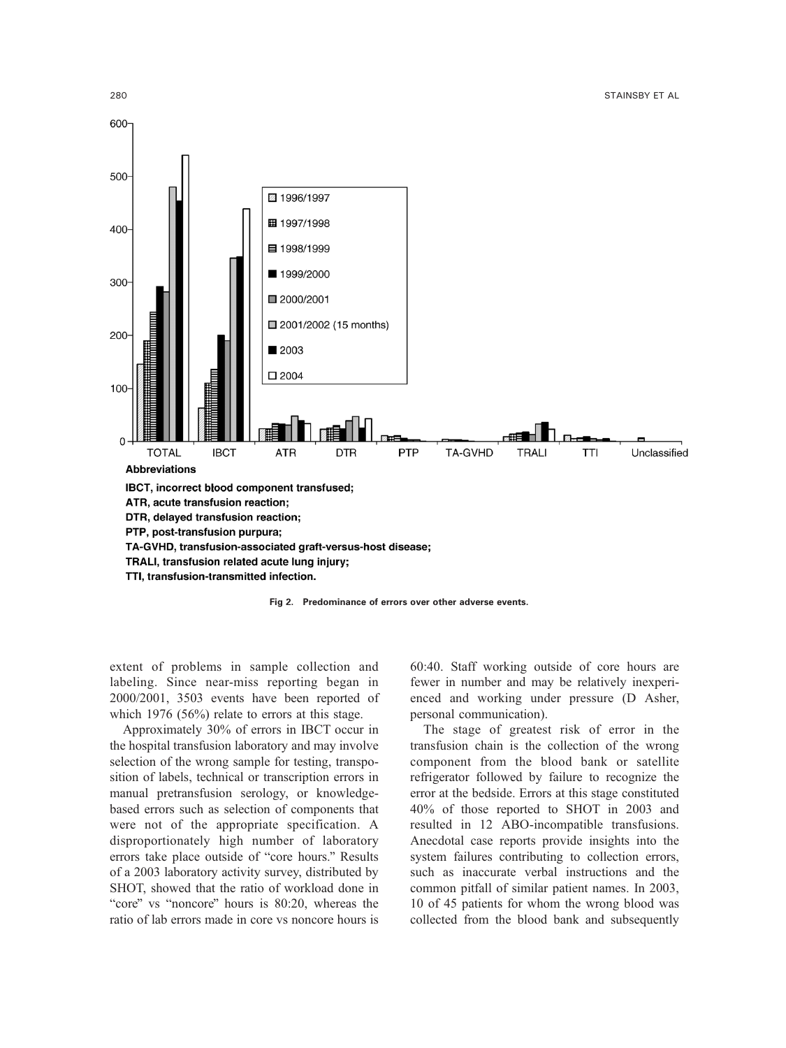<span id="page-7-0"></span>

TTI, transfusion-transmitted infection.

Fig 2. Predominance of errors over other adverse events.

extent of problems in sample collection and labeling. Since near-miss reporting began in 2000/2001, 3503 events have been reported of which 1976 (56%) relate to errors at this stage.

Approximately 30% of errors in IBCT occur in the hospital transfusion laboratory and may involve selection of the wrong sample for testing, transposition of labels, technical or transcription errors in manual pretransfusion serology, or knowledgebased errors such as selection of components that were not of the appropriate specification. A disproportionately high number of laboratory errors take place outside of "core hours." Results of a 2003 laboratory activity survey, distributed by SHOT, showed that the ratio of workload done in "core" vs "noncore" hours is 80:20, whereas the ratio of lab errors made in core vs noncore hours is 60:40. Staff working outside of core hours are fewer in number and may be relatively inexperienced and working under pressure (D Asher, personal communication).

The stage of greatest risk of error in the transfusion chain is the collection of the wrong component from the blood bank or satellite refrigerator followed by failure to recognize the error at the bedside. Errors at this stage constituted 40% of those reported to SHOT in 2003 and resulted in 12 ABO-incompatible transfusions. Anecdotal case reports provide insights into the system failures contributing to collection errors, such as inaccurate verbal instructions and the common pitfall of similar patient names. In 2003, 10 of 45 patients for whom the wrong blood was collected from the blood bank and subsequently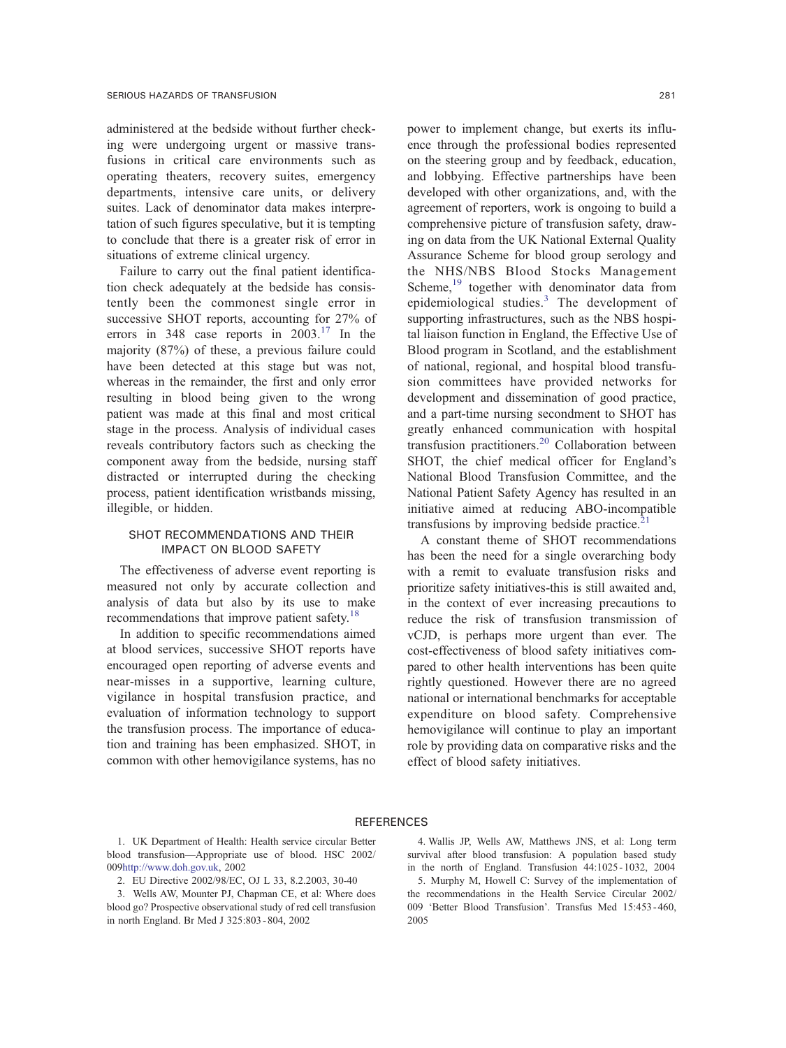<span id="page-8-0"></span>administered at the bedside without further checking were undergoing urgent or massive transfusions in critical care environments such as operating theaters, recovery suites, emergency departments, intensive care units, or delivery suites. Lack of denominator data makes interpretation of such figures speculative, but it is tempting to conclude that there is a greater risk of error in situations of extreme clinical urgency.

Failure to carry out the final patient identification check adequately at the bedside has consistently been the commonest single error in successive SHOT reports, accounting for 27% of errors in 348 case reports in  $2003$ .<sup>[17](#page-9-0)</sup> In the majority (87%) of these, a previous failure could have been detected at this stage but was not, whereas in the remainder, the first and only error resulting in blood being given to the wrong patient was made at this final and most critical stage in the process. Analysis of individual cases reveals contributory factors such as checking the component away from the bedside, nursing staff distracted or interrupted during the checking process, patient identification wristbands missing, illegible, or hidden.

# SHOT RECOMMENDATIONS AND THEIR IMPACT ON BLOOD SAFETY

The effectiveness of adverse event reporting is measured not only by accurate collection and analysis of data but also by its use to make recommendations that improve patient safety.<sup>[18](#page-9-0)</sup>

In addition to specific recommendations aimed at blood services, successive SHOT reports have encouraged open reporting of adverse events and near-misses in a supportive, learning culture, vigilance in hospital transfusion practice, and evaluation of information technology to support the transfusion process. The importance of education and training has been emphasized. SHOT, in common with other hemovigilance systems, has no

power to implement change, but exerts its influence through the professional bodies represented on the steering group and by feedback, education, and lobbying. Effective partnerships have been developed with other organizations, and, with the agreement of reporters, work is ongoing to build a comprehensive picture of transfusion safety, drawing on data from the UK National External Quality Assurance Scheme for blood group serology and the NH[S/](#page-9-0)NBS Blood Stocks Management Scheme,<sup>19</sup> together with denominator data from epidemiological studies.<sup>3</sup> The development of supporting infrastructures, such as the NBS hospital liaison function in England, the Effective Use of Blood program in Scotland, and the establishment of national, regional, and hospital blood transfusion committees have provided networks for development and dissemination of good practice, and a part-time nursing secondment to SHOT has greatly enhanced comm[un](#page-9-0)ication with hospital transfusion practitioners.<sup>20</sup> Collaboration between SHOT, the chief medical officer for England's National Blood Transfusion Committee, and the National Patient Safety Agency has resulted in an initiative aimed at reducing ABO-incomp[at](#page-9-0)ible transfusions by improving bedside practice. $2<sup>1</sup>$ 

A constant theme of SHOT recommendations has been the need for a single overarching body with a remit to evaluate transfusion risks and prioritize safety initiatives-this is still awaited and, in the context of ever increasing precautions to reduce the risk of transfusion transmission of vCJD, is perhaps more urgent than ever. The cost-effectiveness of blood safety initiatives compared to other health interventions has been quite rightly questioned. However there are no agreed national or international benchmarks for acceptable expenditure on blood safety. Comprehensive hemovigilance will continue to play an important role by providing data on comparative risks and the effect of blood safety initiatives.

#### REFERENCES

1. UK Department of Health: Health service circular Better blood transfusion—Appropriate use of blood. HSC 2002/ 00[9http://www.doh.gov.uk, 2](http://www.doh.gov.uk)002

2. EU Directive 2002/98/EC, OJ L 33, 8.2.2003, 30-40

3. Wells AW, Mounter PJ, Chapman CE, et al: Where does blood go? Prospective observational study of red cell transfusion in north England. Br Med J 325:803 - 804, 2002

4. Wallis JP, Wells AW, Matthews JNS, et al: Long term survival after blood transfusion: A population based study in the north of England. Transfusion 44:1025 - 1032, 2004

5. Murphy M, Howell C: Survey of the implementation of the recommendations in the Health Service Circular 2002/ 009 'Better Blood Transfusion'. Transfus Med 15:453-460, 2005